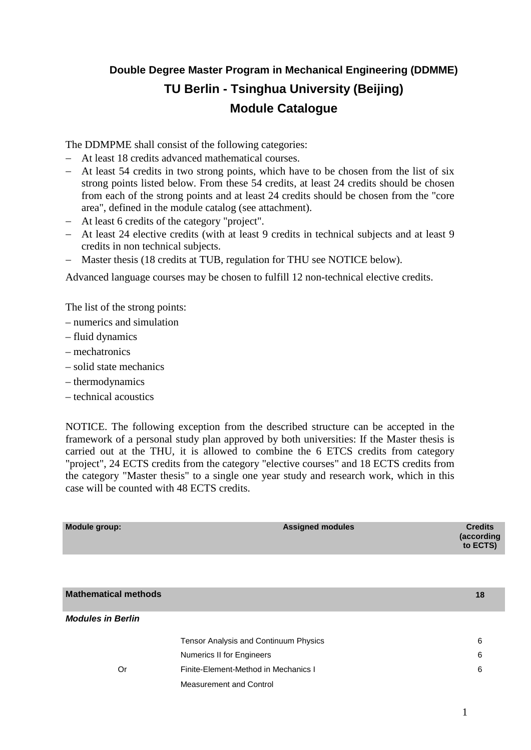# **Double Degree Master Program in Mechanical Engineering (DDMME) TU Berlin - Tsinghua University (Beijing) Module Catalogue**

The DDMPME shall consist of the following categories:

- − At least 18 credits advanced mathematical courses.
- − At least 54 credits in two strong points, which have to be chosen from the list of six strong points listed below. From these 54 credits, at least 24 credits should be chosen from each of the strong points and at least 24 credits should be chosen from the "core area", defined in the module catalog (see attachment).
- − At least 6 credits of the category "project".
- − At least 24 elective credits (with at least 9 credits in technical subjects and at least 9 credits in non technical subjects.
- − Master thesis (18 credits at TUB, regulation for THU see NOTICE below).

Advanced language courses may be chosen to fulfill 12 non-technical elective credits.

The list of the strong points:

- numerics and simulation
- fluid dynamics
- mechatronics
- solid state mechanics
- thermodynamics
- technical acoustics

NOTICE. The following exception from the described structure can be accepted in the framework of a personal study plan approved by both universities: If the Master thesis is carried out at the THU, it is allowed to combine the 6 ETCS credits from category "project", 24 ECTS credits from the category "elective courses" and 18 ECTS credits from the category "Master thesis" to a single one year study and research work, which in this case will be counted with 48 ECTS credits.

| Module group:               | <b>Assigned modules</b>               | <b>Credits</b><br>(according<br>to ECTS) |
|-----------------------------|---------------------------------------|------------------------------------------|
|                             |                                       |                                          |
| <b>Mathematical methods</b> |                                       | 18                                       |
| <b>Modules in Berlin</b>    |                                       |                                          |
|                             | Tensor Analysis and Continuum Physics | 6                                        |
|                             | <b>Numerics II for Engineers</b>      | 6                                        |
| Or                          | Finite-Element-Method in Mechanics I  | 6                                        |
|                             | <b>Measurement and Control</b>        |                                          |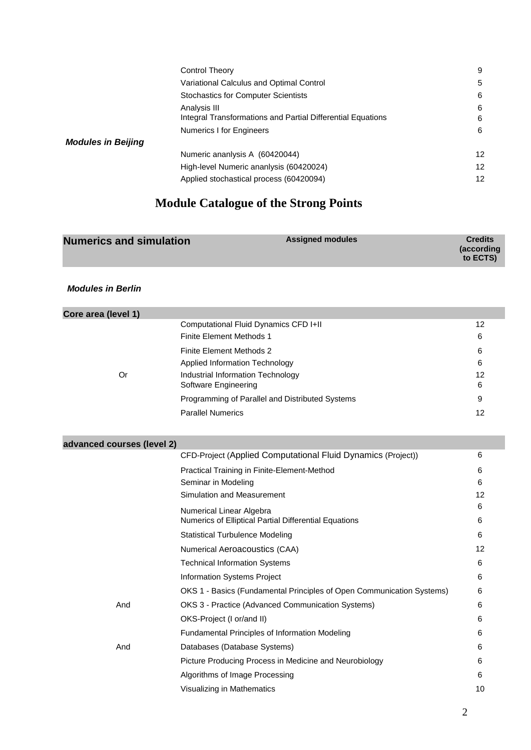|                           | Control Theory                                              | 9                 |
|---------------------------|-------------------------------------------------------------|-------------------|
|                           | Variational Calculus and Optimal Control                    | 5                 |
|                           | <b>Stochastics for Computer Scientists</b>                  | 6                 |
|                           | Analysis III                                                | 6                 |
|                           | Integral Transformations and Partial Differential Equations | 6                 |
|                           | Numerics I for Engineers                                    | 6                 |
| <b>Modules in Beijing</b> |                                                             |                   |
|                           | Numeric ananlysis A (60420044)                              | $12 \overline{ }$ |
|                           | High-level Numeric ananiysis (60420024)                     | $12 \overline{ }$ |
|                           | Applied stochastical process (60420094)                     | 12                |

# **Module Catalogue of the Strong Points**

| according)<br>to ECTS) | <b>Numerics and simulation</b> | <b>Assigned modules</b> | <b>Credits</b> |
|------------------------|--------------------------------|-------------------------|----------------|
|------------------------|--------------------------------|-------------------------|----------------|

*Modules in Berlin*

| Core area (level 1)        |                                                                       |         |
|----------------------------|-----------------------------------------------------------------------|---------|
|                            | Computational Fluid Dynamics CFD I+II                                 | 12      |
|                            | <b>Finite Element Methods 1</b>                                       | 6       |
|                            | <b>Finite Element Methods 2</b>                                       | 6       |
|                            | Applied Information Technology                                        | 6       |
| <b>Or</b>                  | Industrial Information Technology<br>Software Engineering             | 12<br>6 |
|                            | Programming of Parallel and Distributed Systems                       | 9       |
|                            | <b>Parallel Numerics</b>                                              | 12      |
|                            |                                                                       |         |
| advanced courses (level 2) |                                                                       |         |
|                            | CFD-Project (Applied Computational Fluid Dynamics (Project))          | 6       |
|                            | Practical Training in Finite-Element-Method                           | 6       |
|                            | Seminar in Modeling                                                   | 6       |
|                            | Simulation and Measurement                                            | 12      |
|                            | Numerical Linear Algebra                                              | 6       |
|                            | Numerics of Elliptical Partial Differential Equations                 | 6       |
|                            | <b>Statistical Turbulence Modeling</b>                                | 6       |
|                            | Numerical Aeroacoustics (CAA)                                         | 12      |
|                            | <b>Technical Information Systems</b>                                  | 6       |
|                            | Information Systems Project                                           | 6       |
|                            | OKS 1 - Basics (Fundamental Principles of Open Communication Systems) | 6       |
| And                        | OKS 3 - Practice (Advanced Communication Systems)                     | 6       |
|                            | OKS-Project (I or/and II)                                             | 6       |
|                            | Fundamental Principles of Information Modeling                        | 6       |
| And                        | Databases (Database Systems)                                          | 6       |
|                            | Picture Producing Process in Medicine and Neurobiology                | 6       |
|                            | Algorithms of Image Processing                                        | 6       |
|                            | Visualizing in Mathematics                                            | 10      |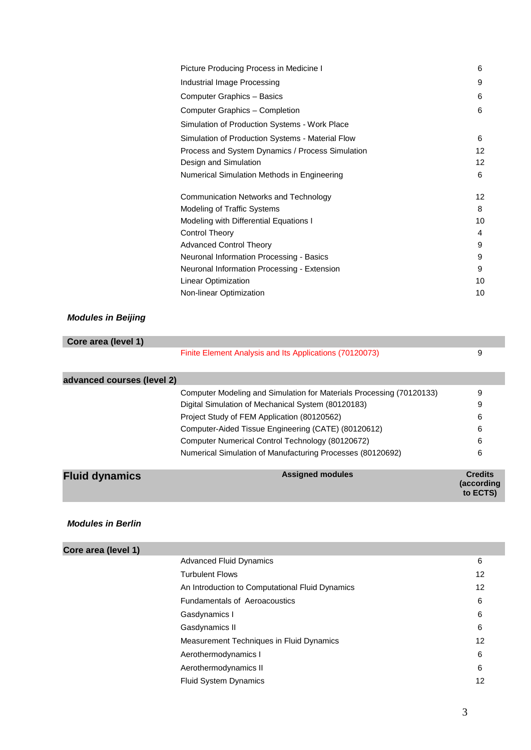| Picture Producing Process in Medicine I          | 6  |
|--------------------------------------------------|----|
| Industrial Image Processing                      | 9  |
| Computer Graphics - Basics                       | 6  |
| Computer Graphics - Completion                   | 6  |
| Simulation of Production Systems - Work Place    |    |
| Simulation of Production Systems - Material Flow | 6  |
| Process and System Dynamics / Process Simulation | 12 |
| Design and Simulation                            | 12 |
| Numerical Simulation Methods in Engineering      | 6  |
| Communication Networks and Technology            | 12 |
| Modeling of Traffic Systems                      | 8  |
| Modeling with Differential Equations I           | 10 |
| <b>Control Theory</b>                            | 4  |
| <b>Advanced Control Theory</b>                   | 9  |
| Neuronal Information Processing - Basics         | 9  |
| Neuronal Information Processing - Extension      | 9  |
| Linear Optimization                              | 10 |
| Non-linear Optimization                          | 10 |
|                                                  |    |

#### *Modules in Beijing*

| Core area (level 1)        |                                                                      |                                          |
|----------------------------|----------------------------------------------------------------------|------------------------------------------|
|                            | Finite Element Analysis and Its Applications (70120073)              | 9                                        |
| advanced courses (level 2) |                                                                      |                                          |
|                            | Computer Modeling and Simulation for Materials Processing (70120133) | 9                                        |
|                            | Digital Simulation of Mechanical System (80120183)                   | 9                                        |
|                            | Project Study of FEM Application (80120562)                          | 6                                        |
|                            | Computer-Aided Tissue Engineering (CATE) (80120612)                  | 6                                        |
|                            | Computer Numerical Control Technology (80120672)                     | 6                                        |
|                            | Numerical Simulation of Manufacturing Processes (80120692)           | 6                                        |
| <b>Fluid dynamics</b>      | <b>Assigned modules</b>                                              | <b>Credits</b><br>(according<br>to ECTS) |

#### *Modules in Berlin*

٠

| Core area (level 1) |                                                 |    |
|---------------------|-------------------------------------------------|----|
|                     | <b>Advanced Fluid Dynamics</b>                  | 6  |
|                     | <b>Turbulent Flows</b>                          | 12 |
|                     | An Introduction to Computational Fluid Dynamics | 12 |
|                     | <b>Fundamentals of Aeroacoustics</b>            | 6  |
|                     | Gasdynamics I                                   | 6  |
|                     | Gasdynamics II                                  | 6  |
|                     | Measurement Techniques in Fluid Dynamics        | 12 |
|                     | Aerothermodynamics I                            | 6  |
|                     | Aerothermodynamics II                           | 6  |
|                     | <b>Fluid System Dynamics</b>                    | 12 |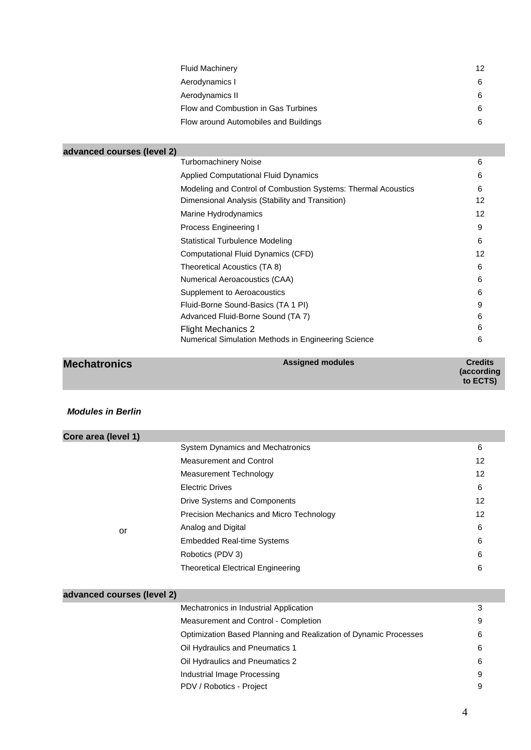| <b>Fluid Machinery</b>                | 12 |
|---------------------------------------|----|
| Aerodynamics I                        | 6  |
| Aerodynamics II                       | 6  |
| Flow and Combustion in Gas Turbines   | 6  |
| Flow around Automobiles and Buildings | 6  |

| advanced courses (level 2) |                                                               |    |
|----------------------------|---------------------------------------------------------------|----|
|                            | <b>Turbomachinery Noise</b>                                   | 6  |
|                            | <b>Applied Computational Fluid Dynamics</b>                   | 6  |
|                            | Modeling and Control of Combustion Systems: Thermal Acoustics | 6  |
|                            | Dimensional Analysis (Stability and Transition)               | 12 |
|                            | Marine Hydrodynamics                                          | 12 |
|                            | Process Engineering I                                         | 9  |
|                            | <b>Statistical Turbulence Modeling</b>                        | 6  |
|                            | Computational Fluid Dynamics (CFD)                            | 12 |
|                            | Theoretical Acoustics (TA 8)                                  | 6  |
|                            | Numerical Aeroacoustics (CAA)                                 | 6  |
|                            | Supplement to Aeroacoustics                                   | 6  |
|                            | Fluid-Borne Sound-Basics (TA 1 PI)                            | 9  |
|                            | Advanced Fluid-Borne Sound (TA 7)                             | 6  |
|                            | Flight Mechanics 2                                            | 6  |
|                            | Numerical Simulation Methods in Engineering Science           | 6  |
|                            |                                                               |    |

| <b>Credits</b><br>(according |
|------------------------------|
|                              |

### *Modules in Berlin*

| Core area (level 1) |                                           |    |
|---------------------|-------------------------------------------|----|
|                     | System Dynamics and Mechatronics          | 6  |
|                     | Measurement and Control                   | 12 |
|                     | Measurement Technology                    | 12 |
|                     | <b>Electric Drives</b>                    | 6  |
|                     | Drive Systems and Components              | 12 |
| or                  | Precision Mechanics and Micro Technology  | 12 |
|                     | Analog and Digital                        | 6  |
|                     | <b>Embedded Real-time Systems</b>         | 6  |
|                     | Robotics (PDV 3)                          | 6  |
|                     | <b>Theoretical Electrical Engineering</b> | 6  |
|                     |                                           |    |

## **advanced courses (level 2)**

| Mechatronics in Industrial Application                           | 3 |
|------------------------------------------------------------------|---|
| Measurement and Control - Completion                             | 9 |
| Optimization Based Planning and Realization of Dynamic Processes | 6 |
| Oil Hydraulics and Pneumatics 1                                  | 6 |
| Oil Hydraulics and Pneumatics 2                                  | 6 |
| Industrial Image Processing                                      | 9 |
| PDV / Robotics - Project                                         | 9 |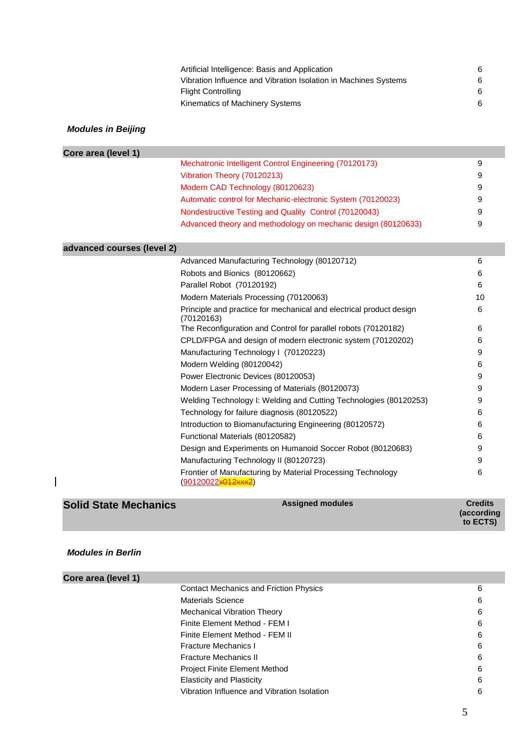| Artificial Intelligence: Basis and Application                  | 6 |
|-----------------------------------------------------------------|---|
| Vibration Influence and Vibration Isolation in Machines Systems | 6 |
| <b>Flight Controlling</b>                                       | 6 |
| Kinematics of Machinery Systems                                 | 6 |

### *Modules in Beijing*

| Core area (level 1)        |                                                                                                  |    |
|----------------------------|--------------------------------------------------------------------------------------------------|----|
|                            | Mechatronic Intelligent Control Engineering (70120173)                                           | 9  |
|                            | Vibration Theory (70120213)                                                                      | 9  |
|                            | Modern CAD Technology (80120623)                                                                 | 9  |
|                            | Automatic control for Mechanic-electronic System (70120023)                                      | 9  |
|                            | Nondestructive Testing and Quality Control (70120043)                                            | 9  |
|                            | Advanced theory and methodology on mechanic design (80120633)                                    | 9  |
| advanced courses (level 2) |                                                                                                  |    |
|                            | Advanced Manufacturing Technology (80120712)                                                     | 6  |
|                            | Robots and Bionics (80120662)                                                                    | 6  |
|                            | Parallel Robot (70120192)                                                                        | 6  |
|                            | Modern Materials Processing (70120063)                                                           | 10 |
|                            | Principle and practice for mechanical and electrical product design<br>(70120163)                | 6  |
|                            | The Reconfiguration and Control for parallel robots (70120182)                                   | 6  |
|                            | CPLD/FPGA and design of modern electronic system (70120202)                                      | 6  |
|                            | Manufacturing Technology I (70120223)                                                            | 9  |
|                            | Modern Welding (80120042)                                                                        | 6  |
|                            | Power Electronic Devices (80120053)                                                              | 9  |
|                            | Modern Laser Processing of Materials (80120073)                                                  | 9  |
|                            | Welding Technology I: Welding and Cutting Technologies (80120253)                                | 9  |
|                            | Technology for failure diagnosis (80120522)                                                      | 6  |
|                            | Introduction to Biomanufacturing Engineering (80120572)                                          | 6  |
|                            | Functional Materials (80120582)                                                                  | 6  |
|                            | Design and Experiments on Humanoid Soccer Robot (80120683)                                       | 9  |
|                            | Manufacturing Technology II (80120723)                                                           | 9  |
|                            | Frontier of Manufacturing by Material Processing Technology<br>(90120022 <mark>x012xxx2</mark> ) | 6  |

| <b>Solid State Mechanics</b> | <b>Assigned modules</b> | <b>Credits</b><br>(according<br>to ECTS) |
|------------------------------|-------------------------|------------------------------------------|
|------------------------------|-------------------------|------------------------------------------|

### *Modules in Berlin*

 $\overline{1}$ 

| Core area (level 1) |                                               |   |
|---------------------|-----------------------------------------------|---|
|                     | <b>Contact Mechanics and Friction Physics</b> | 6 |
|                     | <b>Materials Science</b>                      | 6 |
|                     | <b>Mechanical Vibration Theory</b>            | 6 |
|                     | Finite Element Method - FEM I                 | 6 |
|                     | Finite Element Method - FEM II                | 6 |
|                     | <b>Fracture Mechanics I</b>                   | 6 |
|                     | <b>Fracture Mechanics II</b>                  | 6 |
|                     | <b>Project Finite Element Method</b>          | 6 |
|                     | <b>Elasticity and Plasticity</b>              | 6 |
|                     | Vibration Influence and Vibration Isolation   | 6 |
|                     |                                               |   |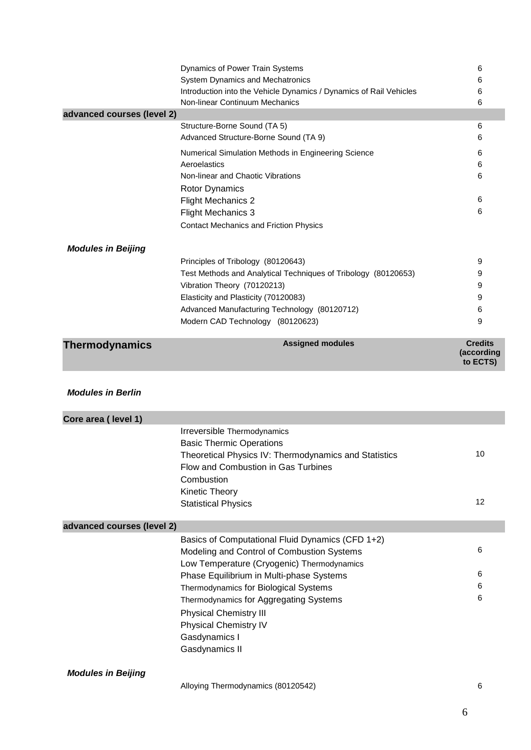|                            | Dynamics of Power Train Systems                                                 | 6                            |
|----------------------------|---------------------------------------------------------------------------------|------------------------------|
|                            | System Dynamics and Mechatronics                                                | 6                            |
|                            | Introduction into the Vehicle Dynamics / Dynamics of Rail Vehicles              | 6                            |
| advanced courses (level 2) | Non-linear Continuum Mechanics                                                  | 6                            |
|                            | Structure-Borne Sound (TA 5)                                                    | 6                            |
|                            | Advanced Structure-Borne Sound (TA 9)                                           | 6                            |
|                            | Numerical Simulation Methods in Engineering Science                             | 6                            |
|                            | Aeroelastics                                                                    | 6                            |
|                            | Non-linear and Chaotic Vibrations                                               | 6                            |
|                            | <b>Rotor Dynamics</b>                                                           |                              |
|                            | <b>Flight Mechanics 2</b>                                                       | 6                            |
|                            | <b>Flight Mechanics 3</b>                                                       | 6                            |
|                            | <b>Contact Mechanics and Friction Physics</b>                                   |                              |
|                            |                                                                                 |                              |
| <b>Modules in Beijing</b>  |                                                                                 |                              |
|                            | Principles of Tribology (80120643)                                              | 9                            |
|                            | Test Methods and Analytical Techniques of Tribology (80120653)                  | 9                            |
|                            | Vibration Theory (70120213)                                                     | 9                            |
|                            | Elasticity and Plasticity (70120083)                                            | 9                            |
|                            | Advanced Manufacturing Technology (80120712)                                    | 6                            |
|                            | Modern CAD Technology (80120623)                                                | 9                            |
|                            |                                                                                 |                              |
|                            |                                                                                 |                              |
| <b>Thermodynamics</b>      | <b>Assigned modules</b>                                                         | <b>Credits</b><br>(according |
|                            |                                                                                 | to ECTS)                     |
|                            |                                                                                 |                              |
| <b>Modules in Berlin</b>   |                                                                                 |                              |
|                            |                                                                                 |                              |
| Core area (level 1)        |                                                                                 |                              |
|                            | Irreversible Thermodynamics                                                     |                              |
|                            | <b>Basic Thermic Operations</b>                                                 |                              |
|                            | Theoretical Physics IV: Thermodynamics and Statistics                           | 10                           |
|                            | Flow and Combustion in Gas Turbines                                             |                              |
|                            | Combustion                                                                      |                              |
|                            | Kinetic Theory                                                                  |                              |
|                            | <b>Statistical Physics</b>                                                      | 12                           |
|                            |                                                                                 |                              |
| advanced courses (level 2) |                                                                                 |                              |
|                            | Basics of Computational Fluid Dynamics (CFD 1+2)                                |                              |
|                            | Modeling and Control of Combustion Systems                                      | 6                            |
|                            | Low Temperature (Cryogenic) Thermodynamics                                      |                              |
|                            | Phase Equilibrium in Multi-phase Systems                                        | 6                            |
|                            | Thermodynamics for Biological Systems<br>Thermodynamics for Aggregating Systems | 6<br>6                       |

Physical Chemistry III Physical Chemistry IV

Gasdynamics I Gasdynamics II

*Modules in Beijing*

Alloying Thermodynamics (80120542) 6